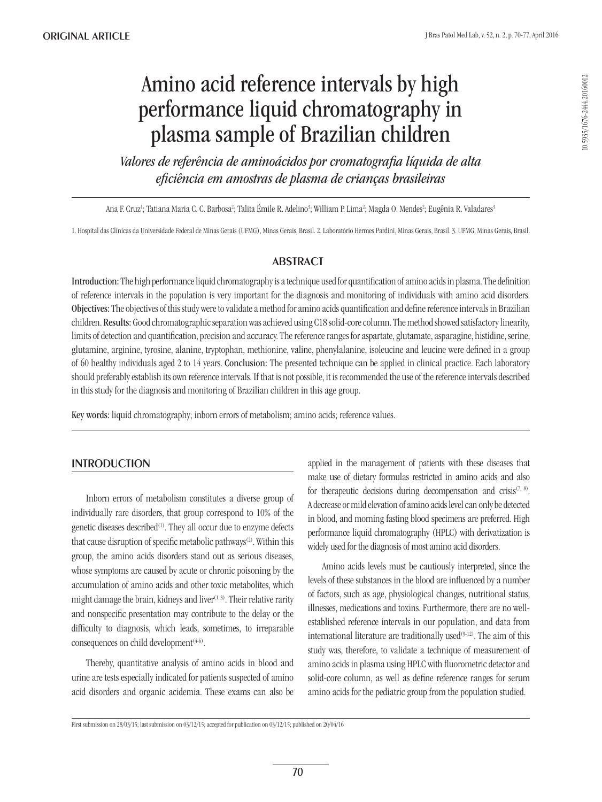# Amino acid reference intervals by high performance liquid chromatography in plasma sample of Brazilian children

*Valores de referência de aminoácidos por cromatografia líquida de alta eficiência em amostras de plasma de crianças brasileiras*

Ana F. Cruz<sup>ı</sup>; Tatiana Maria C. C. Barbosa<sup>2</sup>; Talita Émile R. Adelino<sup>3</sup>; William P. Lima<sup>2</sup>; Magda O. Mendes<sup>2</sup>; Eugênia R. Valadares<sup>;</sup>

1. Hospital das Clínicas da Universidade Federal de Minas Gerais (UFMG), Minas Gerais, Brasil. 2. Laboratório Hermes Pardini, Minas Gerais, Brasil. 3. UFMG, Minas Gerais, Brasil.

## **ABSTRACT**

Introduction: The high performance liquid chromatography is a technique used for quantification of amino acids in plasma. The definition of reference intervals in the population is very important for the diagnosis and monitoring of individuals with amino acid disorders. Objectives: The objectives of this study were to validate a method for amino acids quantification and define reference intervals in Brazilian children. Results: Good chromatographic separation was achieved using C18 solid-core column. The method showed satisfactory linearity, limits of detection and quantification, precision and accuracy. The reference ranges for aspartate, glutamate, asparagine, histidine, serine, glutamine, arginine, tyrosine, alanine, tryptophan, methionine, valine, phenylalanine, isoleucine and leucine were defined in a group of 60 healthy individuals aged 2 to 14 years. Conclusion: The presented technique can be applied in clinical practice. Each laboratory should preferably establish its own reference intervals. If that is not possible, it is recommended the use of the reference intervals described in this study for the diagnosis and monitoring of Brazilian children in this age group.

Key words: liquid chromatography; inborn errors of metabolism; amino acids; reference values.

## **INTRODUCTION**

Inborn errors of metabolism constitutes a diverse group of individually rare disorders, that group correspond to 10% of the genetic diseases described<sup>(1)</sup>. They all occur due to enzyme defects that cause disruption of specific metabolic pathways<sup>(2)</sup>. Within this group, the amino acids disorders stand out as serious diseases, whose symptoms are caused by acute or chronic poisoning by the accumulation of amino acids and other toxic metabolites, which might damage the brain, kidneys and liver $(1, 3)$ . Their relative rarity and nonspecific presentation may contribute to the delay or the difficulty to diagnosis, which leads, sometimes, to irreparable consequences on child development $(4-6)$ .

Thereby, quantitative analysis of amino acids in blood and urine are tests especially indicated for patients suspected of amino acid disorders and organic acidemia. These exams can also be applied in the management of patients with these diseases that make use of dietary formulas restricted in amino acids and also for therapeutic decisions during decompensation and crisis<sup> $(7, 8)$ </sup>. A decrease or mild elevation of amino acids level can only be detected in blood, and morning fasting blood specimens are preferred. High performance liquid chromatography (HPLC) with derivatization is widely used for the diagnosis of most amino acid disorders.

Amino acids levels must be cautiously interpreted, since the levels of these substances in the blood are influenced by a number of factors, such as age, physiological changes, nutritional status, illnesses, medications and toxins. Furthermore, there are no wellestablished reference intervals in our population, and data from international literature are traditionally used $(9-12)$ . The aim of this study was, therefore, to validate a technique of measurement of amino acids in plasma using HPLC with fluorometric detector and solid-core column, as well as define reference ranges for serum amino acids for the pediatric group from the population studied.

First submission on 28/03/15; last submission on 03/12/15; accepted for publication on 03/12/15; published on 20/04/16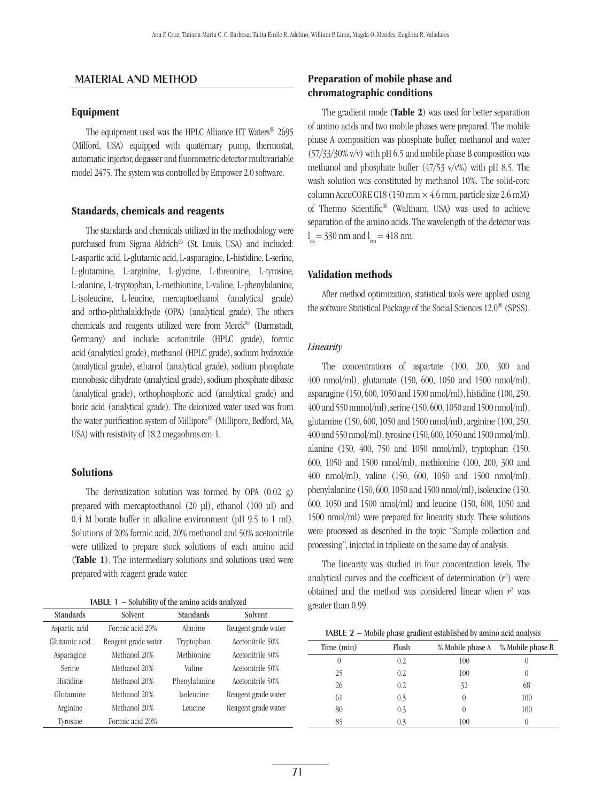## Material and method

#### Equipment

The equipment used was the HPLC Alliance HT Waters® 2695 (Milford, USA) equipped with quaternary pump, thermostat, automatic injector, degasser and fluorometric detector multivariable model 2475. The system was controlled by Empower 2.0 software.

#### Standards, chemicals and reagents

The standards and chemicals utilized in the methodology were purchased from Sigma Aldrich® (St. Louis, USA) and included: L-aspartic acid, L-glutamic acid, L-asparagine, L-histidine, L-serine, L-glutamine, L-arginine, L-glycine, L-threonine, L-tyrosine, L-alanine, L-tryptophan, L-methionine, L-valine, L-phenylalanine, L-isoleucine, L-leucine, mercaptoethanol (analytical grade) and ortho-phthalaldehyde (OPA) (analytical grade). The others chemicals and reagents utilized were from Merck® (Darmstadt, Germany) and include: acetonitrile (HPLC grade), formic acid (analytical grade), methanol (HPLC grade), sodium hydroxide (analytical grade), ethanol (analytical grade), sodium phosphate monobasic dihydrate (analytical grade), sodium phosphate dibasic (analytical grade), orthophosphoric acid (analytical grade) and boric acid (analytical grade). The deionized water used was from the water purification system of Millipore® (Millipore, Bedford, MA, USA) with resistivity of 18.2 megaohms.cm-1.

#### Solutions

The derivatization solution was formed by OPA (0.02 g) prepared with mercaptoethanol (20 µl), ethanol (100 µl) and 0.4 M borate buffer in alkaline environment (pH 9.5 to 1 ml). Solutions of 20% formic acid, 20% methanol and 50% acetonitrile were utilized to prepare stock solutions of each amino acid (Table 1). The intermediary solutions and solutions used were prepared with reagent grade water.

| <b>TABLE</b> $\mathbf{I}$ – Solubility of the amino acids analyzed |  |  |  |  |  |  |  |  |
|--------------------------------------------------------------------|--|--|--|--|--|--|--|--|
|--------------------------------------------------------------------|--|--|--|--|--|--|--|--|

| <b>Standards</b> | Solvent             | <b>Standards</b> | Solvent             |
|------------------|---------------------|------------------|---------------------|
| Aspartic acid    | Formic acid 20%     | Alanine          | Reagent grade water |
| Glutamic acid    | Reagent grade water | Tryptophan       | Acetonitrile 50%    |
| Asparagine       | Methanol 20%        | Methionine       | Acetonitrile 50%    |
| Serine           | Methanol 20%        | Valine           | Acetonitrile 50%    |
| Histidine        | Methanol 20%        | Phenylalanine    | Acetonitrile 50%    |
| Glutamine        | Methanol 20%        | Isoleucine       | Reagent grade water |
| Arginine         | Methanol 20%        | Leucine          | Reagent grade water |
| Tyrosine         | Formic acid 20%     |                  |                     |

## Preparation of mobile phase and chromatographic conditions

The gradient mode (Table 2) was used for better separation of amino acids and two mobile phases were prepared. The mobile phase A composition was phosphate buffer, methanol and water (57/33/30% v/v) with pH 6.5 and mobile phase B composition was methanol and phosphate buffer (47/53 v/v%) with pH 8.5. The wash solution was constituted by methanol 10%. The solid-core column AccuCORE C18 (150 mm  $\times$  4.6 mm, particle size 2.6 mM) of Thermo Scientific® (Waltham, USA) was used to achieve separation of the amino acids. The wavelength of the detector was  $l_{\text{ex}} = 330 \text{ nm}$  and  $l_{\text{em}} = 418 \text{ nm}$ .

#### Validation methods

After method optimization, statistical tools were applied using the software Statistical Package of the Social Sciences 12.0® (SPSS).

#### *Linearity*

The concentrations of aspartate (100, 200, 300 and 400 nmol/ml), glutamate (150, 600, 1050 and 1500 nmol/ml), asparagine (150, 600, 1050 and 1500 nmol/ml), histidine (100, 250, 400 and 550 nnmol/ml), serine (150, 600, 1050 and 1500 nmol/ml), glutamine (150, 600, 1050 and 1500 nmol/ml), arginine (100, 250, 400 and 550 nmol/ml), tyrosine (150, 600, 1050 and 1500 nmol/ml), alanine (150, 400, 750 and 1050 nmol/ml), tryptophan (150, 600, 1050 and 1500 nmol/ml), methionine (100, 200, 300 and 400 nmol/ml), valine (150, 600, 1050 and 1500 nmol/ml), phenylalanine (150, 600, 1050 and 1500 nmol/ml), isoleucine (150, 600, 1050 and 1500 nmol/ml) and leucine (150, 600, 1050 and 1500 nmol/ml) were prepared for linearity study. These solutions were processed as described in the topic "Sample collection and processing", injected in triplicate on the same day of analysis.

The linearity was studied in four concentration levels. The analytical curves and the coefficient of determination  $(r^2)$  were obtained and the method was considered linear when  $r^2$  was greater than 0.99.

Table 2 − Mobile phase gradient established by amino acid analysis

| Time (min) | Flush |                  | % Mobile phase A % Mobile phase B |
|------------|-------|------------------|-----------------------------------|
| $_{0}$     | 0.2   | 100              |                                   |
| 25         | 0.2   | 100              |                                   |
| 26         | 0.2   | 32               | 68                                |
| 61         | 0.3   | $\theta$         | 100                               |
| 80         | 0.3   | $\left( \right)$ | 100                               |
| 85         | 0.3   | 100              |                                   |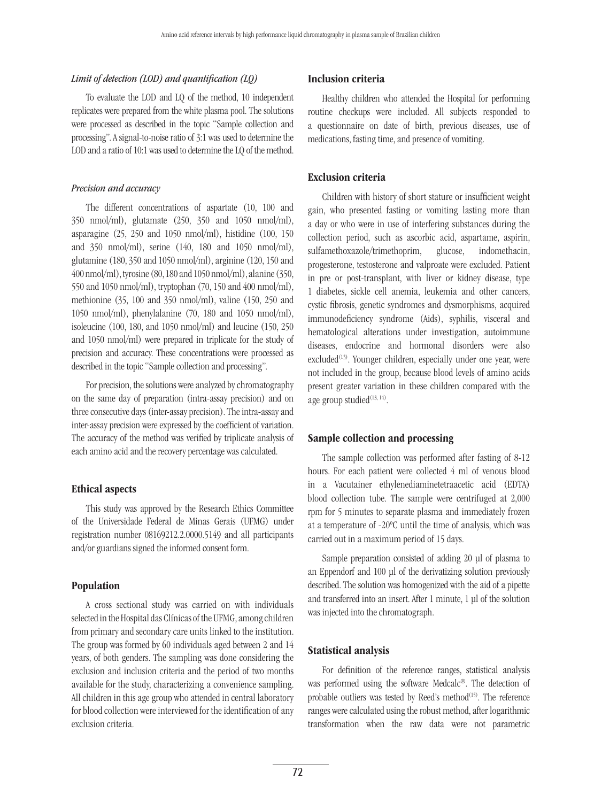## *Limit of detection (LOD) and quantification (LQ)*

To evaluate the LOD and LQ of the method, 10 independent replicates were prepared from the white plasma pool. The solutions were processed as described in the topic "Sample collection and processing". A signal-to-noise ratio of 3:1 was used to determine the LOD and a ratio of 10:1 was used to determine the LQ of the method.

## *Precision and accuracy*

The different concentrations of aspartate (10, 100 and 350 nmol/ml), glutamate (250, 350 and 1050 nmol/ml), asparagine (25, 250 and 1050 nmol/ml), histidine (100, 150 and 350 nmol/ml), serine (140, 180 and 1050 nmol/ml), glutamine (180, 350 and 1050 nmol/ml), arginine (120, 150 and 400 nmol/ml), tyrosine (80, 180 and 1050 nmol/ml), alanine (350, 550 and 1050 nmol/ml), tryptophan (70, 150 and 400 nmol/ml), methionine (35, 100 and 350 nmol/ml), valine (150, 250 and 1050 nmol/ml), phenylalanine (70, 180 and 1050 nmol/ml), isoleucine (100, 180, and 1050 nmol/ml) and leucine (150, 250 and 1050 nmol/ml) were prepared in triplicate for the study of precision and accuracy. These concentrations were processed as described in the topic "Sample collection and processing".

For precision, the solutions were analyzed by chromatography on the same day of preparation (intra-assay precision) and on three consecutive days (inter-assay precision). The intra-assay and inter-assay precision were expressed by the coefficient of variation. The accuracy of the method was verified by triplicate analysis of each amino acid and the recovery percentage was calculated.

## Ethical aspects

This study was approved by the Research Ethics Committee of the Universidade Federal de Minas Gerais (UFMG) under registration number 08169212.2.0000.5149 and all participants and/or guardians signed the informed consent form.

#### Population

A cross sectional study was carried on with individuals selected in the Hospital das Clínicas of the UFMG, among children from primary and secondary care units linked to the institution. The group was formed by 60 individuals aged between 2 and 14 years, of both genders. The sampling was done considering the exclusion and inclusion criteria and the period of two months available for the study, characterizing a convenience sampling. All children in this age group who attended in central laboratory for blood collection were interviewed for the identification of any exclusion criteria.

## Inclusion criteria

Healthy children who attended the Hospital for performing routine checkups were included. All subjects responded to a questionnaire on date of birth, previous diseases, use of medications, fasting time, and presence of vomiting.

## Exclusion criteria

Children with history of short stature or insufficient weight gain, who presented fasting or vomiting lasting more than a day or who were in use of interfering substances during the collection period, such as ascorbic acid, aspartame, aspirin, sulfamethoxazole/trimethoprim, glucose, indomethacin, progesterone, testosterone and valproate were excluded. Patient in pre or post-transplant, with liver or kidney disease, type 1 diabetes, sickle cell anemia, leukemia and other cancers, cystic fibrosis, genetic syndromes and dysmorphisms, acquired immunodeficiency syndrome (Aids), syphilis, visceral and hematological alterations under investigation, autoimmune diseases, endocrine and hormonal disorders were also excluded<sup>(13)</sup>. Younger children, especially under one year, were not included in the group, because blood levels of amino acids present greater variation in these children compared with the age group studied $(13, 14)$ .

## Sample collection and processing

The sample collection was performed after fasting of 8-12 hours. For each patient were collected 4 ml of venous blood in a Vacutainer ethylenediaminetetraacetic acid (EDTA) blood collection tube. The sample were centrifuged at 2,000 rpm for 5 minutes to separate plasma and immediately frozen at a temperature of -20ºC until the time of analysis, which was carried out in a maximum period of 15 days.

Sample preparation consisted of adding 20 µl of plasma to an Eppendorf and 100 µl of the derivatizing solution previously described. The solution was homogenized with the aid of a pipette and transferred into an insert. After 1 minute, 1 μl of the solution was injected into the chromatograph.

## Statistical analysis

For definition of the reference ranges, statistical analysis was performed using the software Medcalc®. The detection of probable outliers was tested by Reed's method<sup>(15)</sup>. The reference ranges were calculated using the robust method, after logarithmic transformation when the raw data were not parametric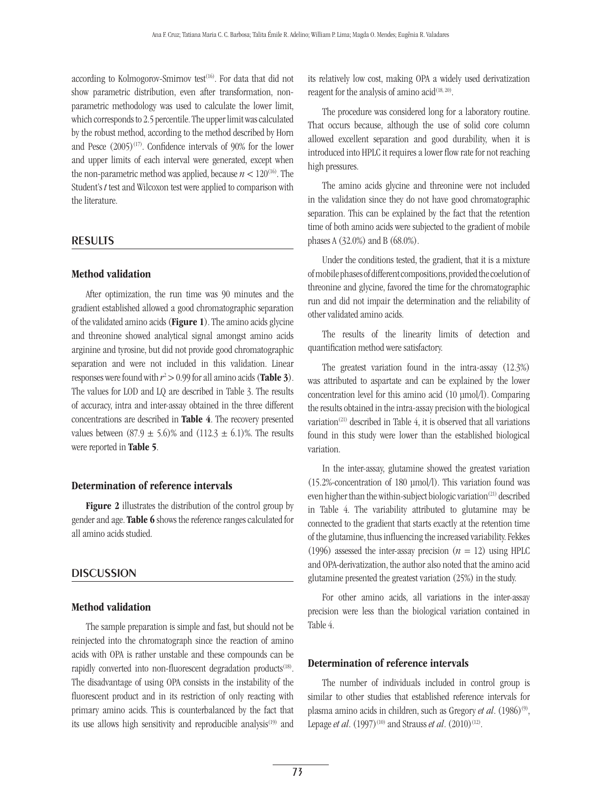according to Kolmogorov-Smirnov test<sup>(16)</sup>. For data that did not show parametric distribution, even after transformation, nonparametric methodology was used to calculate the lower limit, which corresponds to 2.5 percentile. The upper limit was calculated by the robust method, according to the method described by Horn and Pesce  $(2005)^{(17)}$ . Confidence intervals of 90% for the lower and upper limits of each interval were generated, except when the non-parametric method was applied, because  $n < 120^{(16)}$ . The Student's *t* test and Wilcoxon test were applied to comparison with the literature.

#### **RESULTS**

#### Method validation

After optimization, the run time was 90 minutes and the gradient established allowed a good chromatographic separation of the validated amino acids (Figure 1). The amino acids glycine and threonine showed analytical signal amongst amino acids arginine and tyrosine, but did not provide good chromatographic separation and were not included in this validation. Linear responses were found with  $r^2 > 0.99$  for all amino acids (**Table 3**). The values for LOD and LQ are described in Table 3. The results of accuracy, intra and inter-assay obtained in the three different concentrations are described in Table 4. The recovery presented values between  $(87.9 \pm 5.6)\%$  and  $(112.3 \pm 6.1)\%$ . The results were reported in Table 5.

#### Determination of reference intervals

Figure 2 illustrates the distribution of the control group by gender and age. Table 6 shows the reference ranges calculated for all amino acids studied.

## **DISCUSSION**

#### Method validation

The sample preparation is simple and fast, but should not be reinjected into the chromatograph since the reaction of amino acids with OPA is rather unstable and these compounds can be rapidly converted into non-fluorescent degradation products<sup>(18)</sup>. The disadvantage of using OPA consists in the instability of the fluorescent product and in its restriction of only reacting with primary amino acids. This is counterbalanced by the fact that its use allows high sensitivity and reproducible analysis<sup>(19)</sup> and its relatively low cost, making OPA a widely used derivatization reagent for the analysis of amino  $acid^{(18, 20)}$ .

The procedure was considered long for a laboratory routine. That occurs because, although the use of solid core column allowed excellent separation and good durability, when it is introduced into HPLC it requires a lower flow rate for not reaching high pressures.

The amino acids glycine and threonine were not included in the validation since they do not have good chromatographic separation. This can be explained by the fact that the retention time of both amino acids were subjected to the gradient of mobile phases A (32.0%) and B (68.0%).

Under the conditions tested, the gradient, that it is a mixture of mobile phases of different compositions, provided the coelution of threonine and glycine, favored the time for the chromatographic run and did not impair the determination and the reliability of other validated amino acids.

The results of the linearity limits of detection and quantification method were satisfactory.

The greatest variation found in the intra-assay (12.3%) was attributed to aspartate and can be explained by the lower concentration level for this amino acid (10 µmol/l). Comparing the results obtained in the intra-assay precision with the biological variation<sup>(21)</sup> described in Table 4, it is observed that all variations found in this study were lower than the established biological variation.

In the inter-assay, glutamine showed the greatest variation (15.2%-concentration of 180 µmol/l). This variation found was even higher than the within-subject biologic variation<sup>(21)</sup> described in Table 4. The variability attributed to glutamine may be connected to the gradient that starts exactly at the retention time of the glutamine, thus influencing the increased variability. Fekkes (1996) assessed the inter-assay precision  $(n = 12)$  using HPLC and OPA-derivatization, the author also noted that the amino acid glutamine presented the greatest variation (25%) in the study.

For other amino acids, all variations in the inter-assay precision were less than the biological variation contained in Table 4.

#### Determination of reference intervals

The number of individuals included in control group is similar to other studies that established reference intervals for plasma amino acids in children, such as Gregory *et al.* (1986)<sup>(9)</sup>, Lepage *et al.* (1997)<sup>(10)</sup> and Strauss *et al.* (2010)<sup>(12)</sup>.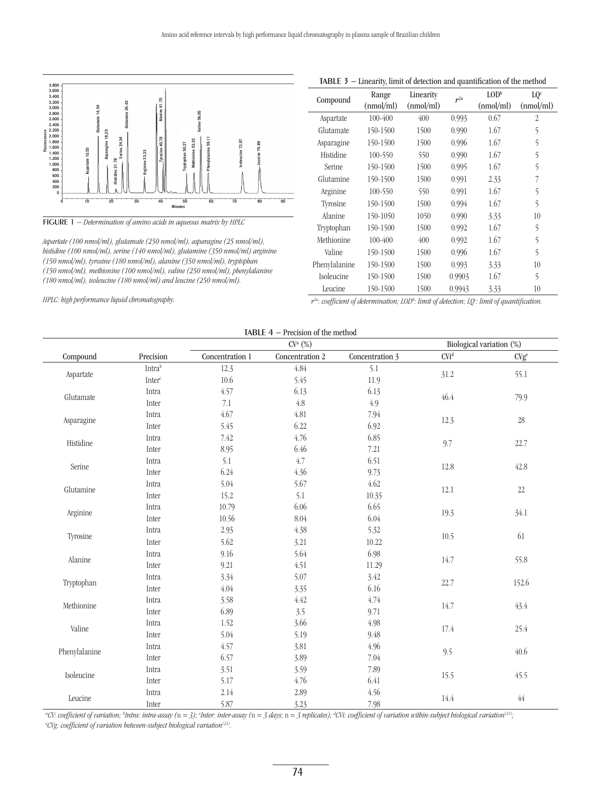

Figure 1 *− Determination of amino acids in aqueous matrix by HPLC*

*Aspartate (100 nmol/ml), glutamate (250 nmol/ml), asparagine (25 nmol/ml), histidine (100 nmol/ml), serine (140 nmol/ml), glutamine (350 nmol/ml) arginine (150 nmol/ml), tyrosine (180 nmol/ml), alanine (350 nmol/ml), tryptophan (150 nmol/ml), methionine (100 nmol/ml), valine (250 nmol/ml), phenylalanine (180 nmol/ml), isoleucine (180 nmol/ml) and leucine (250 nmol/ml).*

*HPLC: high performance liquid chromatography.*

|               | million of actection and quantification of the inclined |                        |                 |                                   |                              |
|---------------|---------------------------------------------------------|------------------------|-----------------|-----------------------------------|------------------------------|
| Compound      | Range<br>(nmol/ml)                                      | Linearity<br>(nmol/ml) | r <sup>2a</sup> | $\text{LOD}^{\rm b}$<br>(nmol/ml) | LQ <sup>c</sup><br>(nmol/ml) |
| Aspartate     | $100 - 400$                                             | 400                    | 0.993           | 0.67                              | $\overline{2}$               |
| Glutamate     | 150-1500                                                | 1500                   | 0.990           | 1.67                              | 5                            |
| Asparagine    | 150-1500                                                | 1500                   | 0.996           | 1.67                              | 5                            |
| Histidine     | 100-550                                                 | 550                    | 0.990           | 1.67                              | 5                            |
| Serine        | 150-1500                                                | 1500                   | 0.995           | 1.67                              | 5                            |
| Glutamine     | 150-1500                                                | 1500                   | 0.991           | 2.33                              | 7                            |
| Arginine      | 100-550                                                 | 550                    | 0.991           | 1.67                              | 5                            |
| Tyrosine      | 150-1500                                                | 1500                   | 0.994           | 1.67                              | 5                            |
| Alanine       | 150-1050                                                | 1050                   | 0.990           | 3.33                              | 10                           |
| Tryptophan    | 150-1500                                                | 1500                   | 0.992           | 1.67                              | 5                            |
| Methionine    | $100 - 400$                                             | 400                    | 0.992           | 1.67                              | 5                            |
| Valine        | 150-1500                                                | 1500                   | 0.996           | 1.67                              | 5                            |
| Phenylalanine | 150-1500                                                | 1500                   | 0.993           | 3.33                              | 10                           |
| Isoleucine    | 150-1500                                                | 1500                   | 0.9903          | 1.67                              | 5                            |
| Leucine       | 150-1500                                                | 1500                   | 0.9943          | 3.33                              | 10                           |

*r2a: coefficient of determination; LODb : limit of detection; LQc : limit of quantification.*

|               | CV <sup>a</sup> (%) |                 |                 |                 | Biological variation (%)    |                  |
|---------------|---------------------|-----------------|-----------------|-----------------|-----------------------------|------------------|
| Compound      | Precision           | Concentration 1 | Concentration 2 | Concentration 3 | $\mathrm{CVi}^{\mathrm{d}}$ | CVg <sup>e</sup> |
| Aspartate     | Intrab              | 12.3            | $4.84\,$        | 5.1             | 31.2                        | 55.1             |
|               | $Inter^c$           | $10.6$          | 5.45            | 11.9            |                             |                  |
| Glutamate     | Intra               | 4.57            | 6.13            | 6.13            | 46.4                        | 79.9             |
|               | Inter               | 7.1             | $4.8\,$         | 4.9             |                             |                  |
| Asparagine    | Intra               | 4.67            | 4.81            | 7.94            | 12.3                        | $28\,$           |
|               | Inter               | 5.45            | 6.22            | 6.92            |                             |                  |
| Histidine     | Intra               | 7.42            | 4.76            | 6.85            | 9.7                         | 22.7             |
|               | Inter               | 8.95            | 6.46            | 7.21            |                             |                  |
| Serine        | Intra               | 5.1             | 4.7             | 6.51            | 12.8                        | 42.8             |
|               | Inter               | 6.24            | 4.36            | 9.73            |                             |                  |
| Glutamine     | Intra               | 5.04            | 5.67            | 4.62            | 12.1                        | $22\,$           |
|               | Inter               | 15.2            | 5.1             | 10.35           |                             |                  |
| Arginine      | Intra               | 10.79           | 6.06            | 6.65            | 19.3                        | 34.1             |
|               | Inter               | 10.56           | 8.04            | 6.04            |                             |                  |
| Tyrosine      | Intra               | 2.93            | 4.38            | 5.32            | 10.5                        | 61               |
|               | Inter               | 5.62            | 3.21            | 10.22           |                             |                  |
| Alanine       | Intra               | 9.16            | 5.64            | 6.98            |                             |                  |
|               | Inter               | 9.21            | 4.51            | 11.29           | 14.7                        | 55.8             |
|               | Intra               | 3.34            | 5.07            | 3.42            |                             | 152.6            |
| Tryptophan    | Inter               | 4.04            | 3.35            | 6.16            | 22.7                        |                  |
| Methionine    | Intra               | 3.58            | 4.42            | 4.74            | 14.7                        | 43.4             |
|               | Inter               | 6.89            | 3.5             | 9.71            |                             |                  |
| Valine        | Intra               | 1.52            | 3.66            | 4.98            | 17.4                        | 25.4             |
|               | Inter               | 5.04            | 5.19            | 9.48            |                             |                  |
| Phenylalanine | Intra               | 4.57            | 3.81            | 4.96            | 9.5                         | 40.6             |
|               | Inter               | 6.57            | 3.89            | 7.04            |                             |                  |
| Isoleucine    | Intra               | 3.51            | 3.59            | 7.89            |                             | 45.5             |
|               | Inter               | 5.17            | 4.76            | 6.41            | 15.5                        |                  |
|               | Intra               | 2.14            | 2.89            | 4.56            | 14.4                        | $44\,$           |
| Leucine       | Inter               | 5.87            | 3.23            | 7.98            |                             |                  |

#### TABLE 3 − Linearity, limit of detection and quantification of the method

"CV: coefficient of variation; <sup>b</sup>Intra: intra-assay (n = 3); 'Inter: inter-assay (n = 3 days; n = 3 replicates); <sup>d</sup>CVi: coefficient of variation within-subject biological variation<sup>(21)</sup>;

*e CVg: coefficient of variation between-subject biological variation(21).*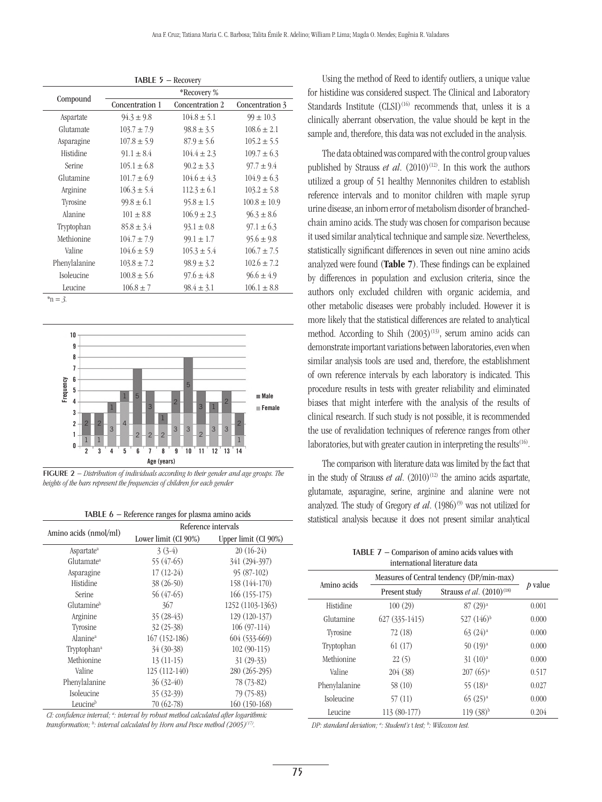| <b>TABLE 5 - Recovery</b> |                 |                 |                  |  |
|---------------------------|-----------------|-----------------|------------------|--|
|                           |                 | *Recovery %     |                  |  |
| Compound                  | Concentration 1 | Concentration 2 | Concentration 3  |  |
| Aspartate                 | $94.3 \pm 9.8$  | $104.8 \pm 5.1$ | $99 \pm 10.3$    |  |
| Glutamate                 | $103.7 \pm 7.9$ | $98.8 \pm 3.5$  | $108.6 \pm 2.1$  |  |
| Asparagine                | $107.8 \pm 5.9$ | $87.9 \pm 5.6$  | $105.2 \pm 5.5$  |  |
| Histidine                 | $91.1 \pm 8.4$  | $104.4 \pm 2.3$ | $109.7 \pm 6.3$  |  |
| Serine                    | $105.1 \pm 6.8$ | $90.2 \pm 3.3$  | $97.7 \pm 9.4$   |  |
| Glutamine                 | $101.7 \pm 6.9$ | $104.6 \pm 4.3$ | $104.9 \pm 6.3$  |  |
| Arginine                  | $106.3 \pm 5.4$ | $112.3 \pm 6.1$ | $103.2 \pm 5.8$  |  |
| Tyrosine                  | $99.8 \pm 6.1$  | $95.8 \pm 1.5$  | $100.8 \pm 10.9$ |  |
| Alanine                   | $101 \pm 8.8$   | $106.9 \pm 2.3$ | $96.3 \pm 8.6$   |  |
| Tryptophan                | $85.8 \pm 3.4$  | $93.1 \pm 0.8$  | $97.1 \pm 6.3$   |  |
| Methionine                | $104.7 \pm 7.9$ | $99.1 \pm 1.7$  | $95.6 \pm 9.8$   |  |
| Valine                    | $104.6 \pm 5.9$ | $105.3 \pm 5.4$ | $106.7 \pm 7.5$  |  |
| Phenylalanine             | $103.8 \pm 7.2$ | $98.9 \pm 3.2$  | $102.6 \pm 7.2$  |  |
| Isoleucine                | $100.8 \pm 5.6$ | $97.6 \pm 4.8$  | $96.6 \pm 4.9$   |  |
| Leucine                   | $106.8 \pm 7$   | $98.4 \pm 3.1$  | $106.1 \pm 8.8$  |  |

*\**n *= 3.*



Figure 2 *− Distribution of individuals according to their gender and age groups. The heights of the bars represent the frequencies of children for each gender*

| <b>TABLE <math>6</math></b> – Reference ranges for plasma amino acids |  |  |  |  |
|-----------------------------------------------------------------------|--|--|--|--|
|-----------------------------------------------------------------------|--|--|--|--|

|                         | Reference intervals  |                      |  |  |
|-------------------------|----------------------|----------------------|--|--|
| Amino acids (nmol/ml)   | Lower limit (CI 90%) | Upper limit (CI 90%) |  |  |
| Aspartate <sup>a</sup>  | $3(3-4)$             | $20(16-24)$          |  |  |
| Glutamate <sup>a</sup>  | 55 (47-65)           | 341 (294-397)        |  |  |
| Asparagine              | $17(12-24)$          | $95(87-102)$         |  |  |
| Histidine               | $38(26-50)$          | 158 (144-170)        |  |  |
| Serine                  | 56 (47-65)           | $166(155-175)$       |  |  |
| Glutamine <sup>b</sup>  | 367                  | 1252 (1103-1363)     |  |  |
| Arginine                | $35(28-43)$          | 129 (120-137)        |  |  |
| Tyrosine                | $32(25-38)$          | $106(97-114)$        |  |  |
| Alanine <sup>a</sup>    | $167(152-186)$       | $604(533-669)$       |  |  |
| Tryptophan <sup>a</sup> | $34(30-38)$          | $102(90-115)$        |  |  |
| Methionine              | $13(11-15)$          | $31(29-33)$          |  |  |
| Valine                  | $125(112-140)$       | 280 (265-295)        |  |  |
| Phenylalanine           | $36(32-40)$          | 78 (73-82)           |  |  |
| Isoleucine              | $35(32-39)$          | 79 (75-83)           |  |  |
| Leucineb                | 70 (62-78)           | $160(150-168)$       |  |  |

*CI: confidence interval; a : interval by robust method calculated after logarithmic transformation; b : interval calculated by Horn and Pesce method (2005)(17).*

Using the method of Reed to identify outliers, a unique value for histidine was considered suspect. The Clinical and Laboratory Standards Institute  $(CLSI)^{(16)}$  recommends that, unless it is a clinically aberrant observation, the value should be kept in the sample and, therefore, this data was not excluded in the analysis.

The data obtained was compared with the control group values published by Strauss *et al.*  $(2010)^{(12)}$ . In this work the authors utilized a group of 51 healthy Mennonites children to establish reference intervals and to monitor children with maple syrup urine disease, an inborn error of metabolism disorder of branchedchain amino acids. The study was chosen for comparison because it used similar analytical technique and sample size. Nevertheless, statistically significant differences in seven out nine amino acids analyzed were found (Table 7). These findings can be explained by differences in population and exclusion criteria, since the authors only excluded children with organic acidemia, and other metabolic diseases were probably included. However it is more likely that the statistical differences are related to analytical method. According to Shih  $(2003)^{(13)}$ , serum amino acids can demonstrate important variations between laboratories, even when similar analysis tools are used and, therefore, the establishment of own reference intervals by each laboratory is indicated. This procedure results in tests with greater reliability and eliminated biases that might interfere with the analysis of the results of clinical research. If such study is not possible, it is recommended the use of revalidation techniques of reference ranges from other laboratories, but with greater caution in interpreting the results<sup>(16)</sup>.

The comparison with literature data was limited by the fact that in the study of Strauss *et al.*  $(2010)^{(12)}$  the amino acids aspartate, glutamate, asparagine, serine, arginine and alanine were not analyzed. The study of Gregory *et al.* (1986)<sup>(9)</sup> was not utilized for statistical analysis because it does not present similar analytical

> TABLE 7 − Comparison of amino acids values with international literature data

|                   | Measures of Central tendency (DP/min-max) |                                       |         |
|-------------------|-------------------------------------------|---------------------------------------|---------|
| Amino acids       | Present study                             | Strauss et al. (2010) <sup>(18)</sup> | p value |
| Histidine         | 100(29)                                   | 87 (29) <sup>a</sup>                  | 0.001   |
| Glutamine         | $627(335-1415)$                           | 527 $(146)^{b}$                       | 0.000   |
| Tyrosine          | 72(18)                                    | $63(24)^{a}$                          | 0.000   |
| Tryptophan        | 61(17)                                    | $50(19)^{a}$                          | 0.000   |
| Methionine        | 22(5)                                     | 31(10) <sup>a</sup>                   | 0.000   |
| Valine            | 204 (38)                                  | $207(65)^{a}$                         | 0.517   |
| Phenylalanine     | 58(10)                                    | 55 (18) <sup>a</sup>                  | 0.027   |
| <b>Isoleucine</b> | 57(11)                                    | $65(25)^{a}$                          | 0.000   |
| Leucine           | 113 (80-177)                              | $119(38)$ <sup>b</sup>                | 0.204   |

*DP: standard deviation; a : Student's* t *test; b : Wilcoxon test.*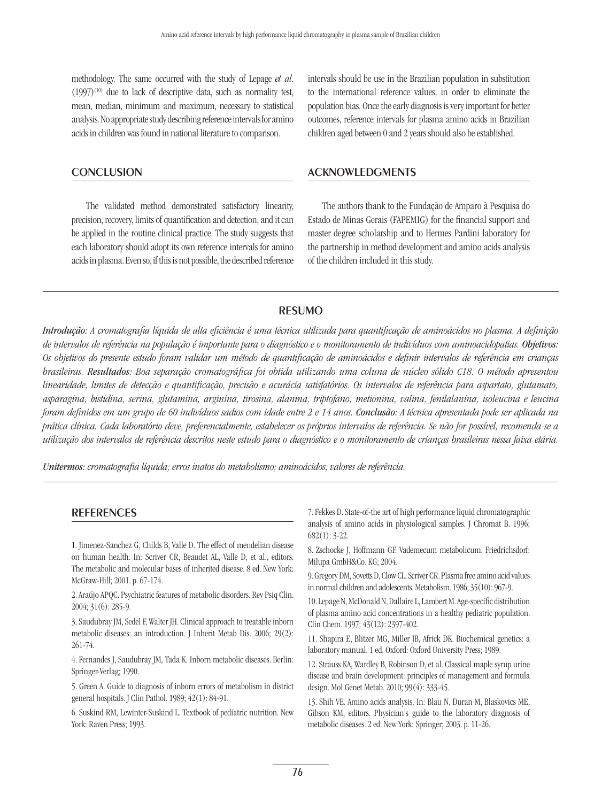methodology. The same occurred with the study of Lepage *et al*.  $(1997)^{(10)}$  due to lack of descriptive data, such as normality test, mean, median, minimum and maximum, necessary to statistical analysis. No appropriate study describing reference intervals for amino acids in children was found in national literature to comparison.

## **CONCLUSION**

The validated method demonstrated satisfactory linearity, precision, recovery, limits of quantification and detection, and it can be applied in the routine clinical practice. The study suggests that each laboratory should adopt its own reference intervals for amino acids in plasma. Even so, if this is not possible, the described reference

intervals should be use in the Brazilian population in substitution to the international reference values, in order to eliminate the population bias. Once the early diagnosis is very important for better outcomes, reference intervals for plasma amino acids in Brazilian children aged between 0 and 2 years should also be established.

## **ACKNOWLEDGMENTS**

The authors thank to the Fundação de Amparo à Pesquisa do Estado de Minas Gerais (FAPEMIG) for the financial support and master degree scholarship and to Hermes Pardini laboratory for the partnership in method development and amino acids analysis of the children included in this study.

## **RESUMO**

*Introdução: A cromatografia líquida de alta eficiência é uma técnica utilizada para quantificação de aminoácidos no plasma. A definição de intervalos de referência na população é importante para o diagnóstico e o monitoramento de indivíduos com aminoacidopatias. Objetivos: Os objetivos do presente estudo foram validar um método de quantificação de aminoácidos e definir intervalos de referência em crianças brasileiras. Resultados: Boa separação cromatográfica foi obtida utilizando uma coluna de núcleo sólido C18. O método apresentou linearidade, limites de detecção e quantificação, precisão e acurácia satisfatórios. Os intervalos de referência para aspartato, glutamato, asparagina, histidina, serina, glutamina, arginina, tirosina, alanina, triptofano, metionina, valina, fenilalanina, isoleucina e leucina foram definidos em um grupo de 60 indivíduos sadios com idade entre 2 e 14 anos. Conclusão: A técnica apresentada pode ser aplicada na prática clínica. Cada laboratório deve, preferencialmente, estabelecer os próprios intervalos de referência. Se não for possível, recomenda-se a utilização dos intervalos de referência descritos neste estudo para o diagnóstico e o monitoramento de crianças brasileiras nessa faixa etária.*

*Unitermos: cromatografia líquida; erros inatos do metabolismo; aminoácidos; valores de referência.*

## **REFERENCES**

1. Jimenez-Sanchez G, Childs B, Valle D. The effect of mendelian disease on human health. In: Scriver CR, Beaudet AL, Valle D, et al., editors. The metabolic and molecular bases of inherited disease. 8 ed. New York: McGraw-Hill; 2001. p. 67-174.

2. Araújo APQC. Psychiatric features of metabolic disorders. Rev Psiq Clin. 2004; 31(6): 285-9.

3. Saudubray JM, Sedel F, Walter JH. Clinical approach to treatable inborn metabolic diseases: an introduction. J Inherit Metab Dis. 2006; 29(2): 261-74.

4. Fernandes J, Saudubray JM, Tada K. Inborn metabolic diseases. Berlin: Springer-Verlag; 1990.

5. Green A. Guide to diagnosis of inborn errors of metabolism in district general hospitals. J Clin Pathol. 1989; 42(1): 84-91.

6. Suskind RM, Lewinter-Suskind L. Textbook of pediatric nutrition. New York: Raven Press; 1993.

7. Fekkes D. State-of-the art of high performance liquid chromatographic analysis of amino acids in physiological samples. J Chromat B. 1996; 682(1): 3-22.

8. Zschocke J, Hoffmann GF. Vademecum metabolicum. Friedrichsdorf: Milupa GmbH&Co. KG; 2004.

9. Gregory DM, Sovetts D, Clow CL, Scriver CR. Plasma free amino acid values in normal children and adolescents. Metabolism. 1986; 35(10): 967-9.

10. Lepage N, McDonald N, Dallaire L, Lambert M. Age-specific distribution of plasma amino acid concentrations in a healthy pediatric population. Clin Chem. 1997; 43(12): 2397-402.

11. Shapira E, Blitzer MG, Miller JB, Africk DK. Biochemical genetics: a laboratory manual. 1 ed. Oxford: Oxford University Press; 1989.

12. Strauss KA, Wardley B, Robinson D, et al. Classical maple syrup urine disease and brain development: principles of management and formula design. Mol Genet Metab. 2010; 99(4): 333-45.

13. Shih VE. Amino acids analysis. In: Blau N, Duran M, Blaskovics ME, Gibson KM, editors. Physician's guide to the laboratory diagnosis of metabolic diseases. 2 ed. New York: Springer; 2003. p. 11-26.